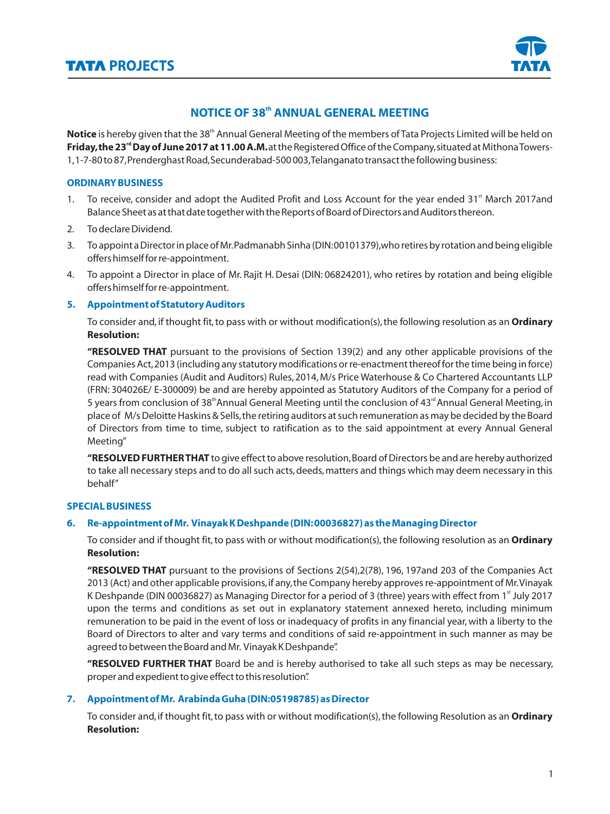

# **NOTICE OF 38<sup>th</sup> ANNUAL GENERAL MEETING**

Notice is hereby given that the 38<sup>th</sup> Annual General Meeting of the members of Tata Projects Limited will be held on Friday, the 23<sup>rd</sup> Day of June 2017 at 11.00 A.M. at the Registered Office of the Company, situated at Mithona Towers-1,1-7-80 to 87,Prenderghast Road,Secunderabad-500 003,Telanganato transact the following business:

### **ORDINARY BUSINESS**

- 1. To receive, consider and adopt the Audited Profit and Loss Account for the year ended  $31<sup>st</sup>$  March 2017and Balance Sheet as at that date together with the Reports of Board of Directors and Auditors thereon.
- 2. To declare Dividend.
- 3. To appoint a Director in place of Mr.Padmanabh Sinha (DIN:00101379),who retires by rotation and being eligible offers himself for re-appointment.
- 4. To appoint a Director in place of Mr. Rajit H. Desai (DIN: 06824201), who retires by rotation and being eligible offers himself for re-appointment.

## **5. Appointment of Statutory Auditors**

To consider and, if thought fit, to pass with or without modification(s), the following resolution as an **Ordinary Resolution:**

**"RESOLVED THAT** pursuant to the provisions of Section 139(2) and any other applicable provisions of the Companies Act,2013 (including any statutory modifications or re-enactment thereof for the time being in force) read with Companies (Audit and Auditors) Rules, 2014, M/s Price Waterhouse & Co Chartered Accountants LLP (FRN: 304026E/ E-300009) be and are hereby appointed as Statutory Auditors of the Company for a period of 5 years from conclusion of 38<sup>th</sup> Annual General Meeting until the conclusion of 43<sup>rd</sup> Annual General Meeting, in place of M/s Deloitte Haskins & Sells,the retiring auditors at such remuneration as may be decided by the Board of Directors from time to time, subject to ratification as to the said appointment at every Annual General Meeting"

**"RESOLVED FURTHER THAT** to give effect to above resolution,Board of Directors be and are hereby authorized to take all necessary steps and to do all such acts, deeds, matters and things which may deem necessary in this behalf"

# **SPECIAL BUSINESS**

# **6. Re-appointment of Mr. Vinayak K Deshpande (DIN:00036827) as the Managing Director**

To consider and if thought fit, to pass with or without modification(s), the following resolution as an **Ordinary Resolution:**

**"RESOLVED THAT** pursuant to the provisions of Sections 2(54),2(78), 196, 197and 203 of the Companies Act 2013 (Act) and other applicable provisions,if any,the Company hereby approves re-appointment of Mr.Vinayak K Deshpande (DIN 00036827) as Managing Director for a period of 3 (three) years with effect from 1<sup>st</sup> July 2017 upon the terms and conditions as set out in explanatory statement annexed hereto, including minimum remuneration to be paid in the event of loss or inadequacy of profits in any financial year, with a liberty to the Board of Directors to alter and vary terms and conditions of said re-appointment in such manner as may be agreed to between the Board and Mr. Vinayak K Deshpande".

**"RESOLVED FURTHER THAT** Board be and is hereby authorised to take all such steps as may be necessary, proper and expedient to give effect to this resolution".

#### **7. Appointment of Mr. Arabinda Guha (DIN:05198785) as Director**

To consider and, if thought fit,to pass with or without modification(s),the following Resolution as an **Ordinary Resolution:**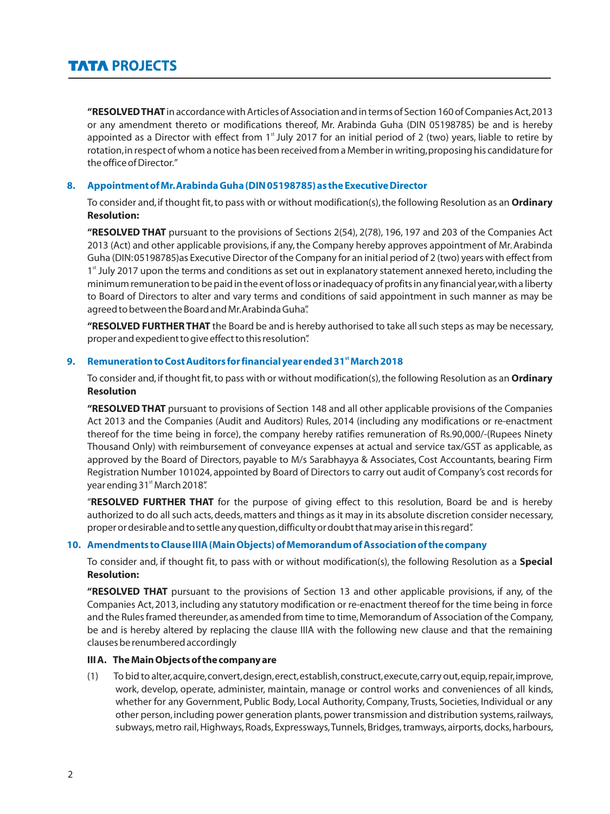**"RESOLVED THAT**in accordance with Articles of Association and in terms of Section 160 of Companies Act,2013 or any amendment thereto or modifications thereof, Mr. Arabinda Guha (DIN 05198785) be and is hereby appointed as a Director with effect from  $1<sup>s</sup>$  July 2017 for an initial period of 2 (two) years, liable to retire by rotation, in respect of whom a notice has been received from a Member in writing, proposing his candidature for the office of Director."

#### **8. Appointment of Mr.Arabinda Guha (DIN 05198785) as the Executive Director**

To consider and, if thought fit,to pass with or without modification(s),the following Resolution as an **Ordinary Resolution:**

**"RESOLVED THAT** pursuant to the provisions of Sections 2(54), 2(78), 196, 197 and 203 of the Companies Act 2013 (Act) and other applicable provisions, if any, the Company hereby approves appointment of Mr. Arabinda Guha (DIN:05198785)as Executive Director of the Company for an initial period of 2 (two) years with effect from 1<sup>st</sup> July 2017 upon the terms and conditions as set out in explanatory statement annexed hereto, including the minimum remuneration to be paid in the event of loss or inadequacy of profits in any financial year,with a liberty to Board of Directors to alter and vary terms and conditions of said appointment in such manner as may be agreed to between the Board and Mr.Arabinda Guha".

**"RESOLVED FURTHER THAT** the Board be and is hereby authorised to take all such steps as may be necessary, proper and expedient to give effect to this resolution".

#### **st 9. Remuneration to Cost Auditors for financial year ended 31 March 2018**

To consider and, if thought fit,to pass with or without modification(s),the following Resolution as an **Ordinary Resolution**

**"RESOLVED THAT** pursuant to provisions of Section 148 and all other applicable provisions of the Companies Act 2013 and the Companies (Audit and Auditors) Rules, 2014 (including any modifications or re-enactment thereof for the time being in force), the company hereby ratifies remuneration of Rs.90,000/-(Rupees Ninety Thousand Only) with reimbursement of conveyance expenses at actual and service tax/GST as applicable, as approved by the Board of Directors, payable to M/s Sarabhayya & Associates, Cost Accountants, bearing Firm Registration Number 101024, appointed by Board of Directors to carry out audit of Company's cost records for year ending 31st March 2018".

"**RESOLVED FURTHER THAT** for the purpose of giving effect to this resolution, Board be and is hereby authorized to do all such acts, deeds, matters and things as it may in its absolute discretion consider necessary, proper or desirable and to settle any question, difficulty or doubt that may arise in this regard".

#### **10. Amendments to Clause IIIA (Main Objects) of Memorandum of Association of the company**

To consider and, if thought fit, to pass with or without modification(s), the following Resolution as a **Special Resolution:**

**"RESOLVED THAT** pursuant to the provisions of Section 13 and other applicable provisions, if any, of the Companies Act, 2013, including any statutory modification or re-enactment thereof for the time being in force and the Rules framed thereunder, as amended from time to time, Memorandum of Association of the Company, be and is hereby altered by replacing the clause IIIA with the following new clause and that the remaining clauses be renumbered accordingly

#### **III A. The Main Objects of the company are**

(1) To bid to alter,acquire,convert,design,erect,establish,construct,execute,carry out,equip,repair,improve, work, develop, operate, administer, maintain, manage or control works and conveniences of all kinds, whether for any Government, Public Body, Local Authority, Company, Trusts, Societies, Individual or any other person, including power generation plants, power transmission and distribution systems, railways, subways, metro rail, Highways, Roads, Expressways, Tunnels, Bridges, tramways, airports, docks, harbours,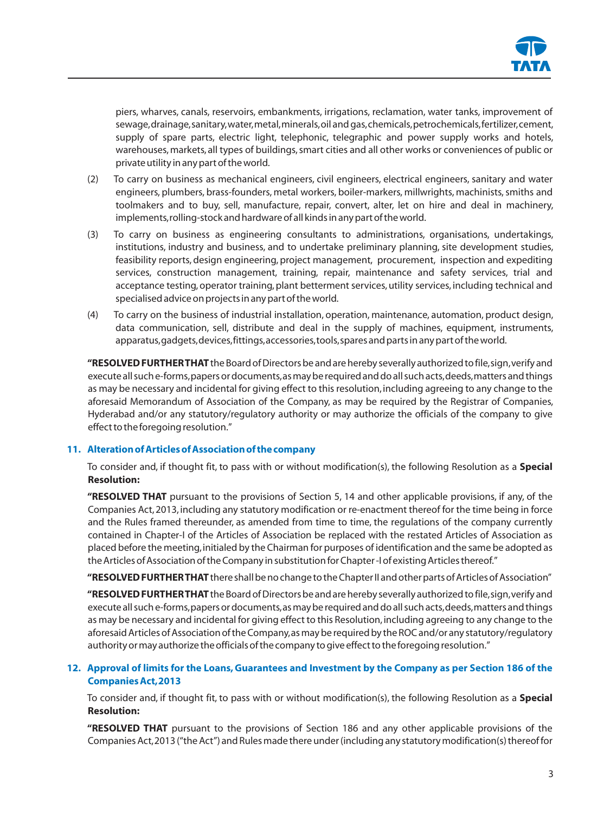

piers, wharves, canals, reservoirs, embankments, irrigations, reclamation, water tanks, improvement of sewage,drainage,sanitary,water,metal,minerals,oil and gas,chemicals,petrochemicals,fertilizer,cement, supply of spare parts, electric light, telephonic, telegraphic and power supply works and hotels, warehouses, markets, all types of buildings, smart cities and all other works or conveniences of public or private utility in any part of the world.

- (2) To carry on business as mechanical engineers, civil engineers, electrical engineers, sanitary and water engineers, plumbers, brass-founders, metal workers, boiler-markers, millwrights, machinists, smiths and toolmakers and to buy, sell, manufacture, repair, convert, alter, let on hire and deal in machinery, implements,rolling-stock and hardware of all kinds in any part of the world.
- (3) To carry on business as engineering consultants to administrations, organisations, undertakings, institutions, industry and business, and to undertake preliminary planning, site development studies, feasibility reports, design engineering, project management, procurement, inspection and expediting services, construction management, training, repair, maintenance and safety services, trial and acceptance testing, operator training, plant betterment services, utility services, including technical and specialised advice on projects in any part of the world.
- (4) To carry on the business of industrial installation, operation,maintenance, automation, product design, data communication, sell, distribute and deal in the supply of machines, equipment, instruments, apparatus,gadgets,devices,fittings,accessories,tools,spares and parts in any part of the world.

**"RESOLVED FURTHER THAT**the Board of Directors be and are hereby severally authorized to file,sign,verify and execute all such e-forms,papers or documents,as may be required and do all such acts,deeds,matters and things as may be necessary and incidental for giving effect to this resolution, including agreeing to any change to the aforesaid Memorandum of Association of the Company, as may be required by the Registrar of Companies, Hyderabad and/or any statutory/regulatory authority or may authorize the officials of the company to give effect to the foregoing resolution."

#### **11. Alteration of Articles of Association of the company**

To consider and, if thought fit, to pass with or without modification(s), the following Resolution as a **Special Resolution:**

**"RESOLVED THAT** pursuant to the provisions of Section 5, 14 and other applicable provisions, if any, of the Companies Act, 2013, including any statutory modification or re-enactment thereof for the time being in force and the Rules framed thereunder, as amended from time to time, the regulations of the company currently contained in Chapter-I of the Articles of Association be replaced with the restated Articles of Association as placed before the meeting,initialed by the Chairman for purposes of identification and the same be adopted as the Articles of Association of the Company in substitution for Chapter -I of existing Articles thereof."

**"RESOLVED FURTHER THAT**there shall be no change to the Chapter II and other parts of Articles of Association"

**"RESOLVED FURTHER THAT** the Board of Directors be and are hereby severally authorized to file,sign,verify and execute all such e-forms,papers or documents,as may be required and do all such acts,deeds,matters and things as may be necessary and incidental for giving effect to this Resolution,including agreeing to any change to the aforesaid Articles of Association of the Company,as may be required by the ROC and/or any statutory/regulatory authority or may authorize the officials of the company to give effect to the foregoing resolution."

## **12. Approval of limits for the Loans,Guarantees and Investment by the Company as per Section 186 of the Companies Act,2013**

To consider and, if thought fit, to pass with or without modification(s), the following Resolution as a **Special Resolution:**

**"RESOLVED THAT** pursuant to the provisions of Section 186 and any other applicable provisions of the Companies Act,2013 ("the Act") and Rules made there under (including any statutory modification(s) thereof for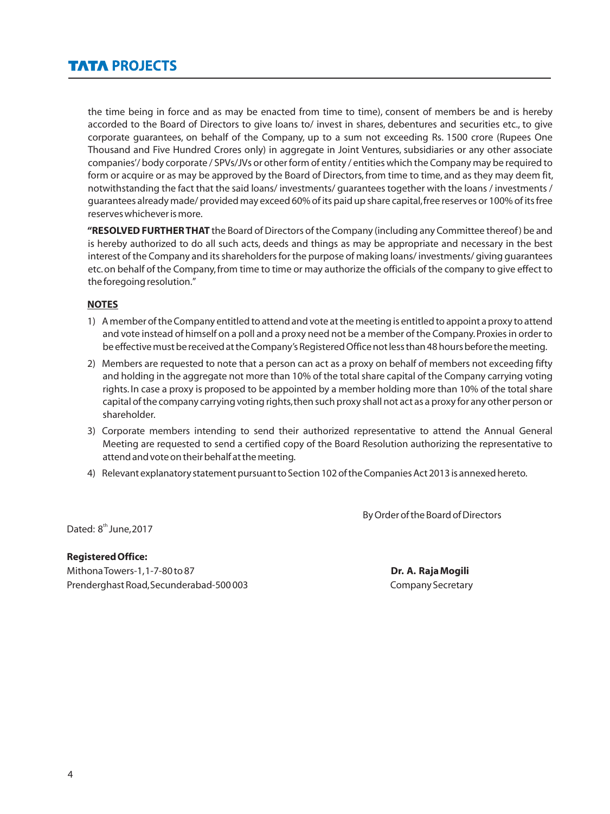the time being in force and as may be enacted from time to time), consent of members be and is hereby accorded to the Board of Directors to give loans to/ invest in shares, debentures and securities etc., to give corporate guarantees, on behalf of the Company, up to a sum not exceeding Rs. 1500 crore (Rupees One Thousand and Five Hundred Crores only) in aggregate in Joint Ventures, subsidiaries or any other associate companies'/ body corporate / SPVs/JVs or other form of entity / entities which the Company may be required to form or acquire or as may be approved by the Board of Directors, from time to time, and as they may deem fit, notwithstanding the fact that the said loans/ investments/ guarantees together with the loans / investments / guarantees already made/ provided may exceed 60% of its paid up share capital,free reserves or 100% of its free reserves whichever is more.

**"RESOLVED FURTHER THAT** the Board of Directors of the Company (including any Committee thereof) be and is hereby authorized to do all such acts, deeds and things as may be appropriate and necessary in the best interest of the Company and its shareholders for the purpose of making loans/ investments/ giving guarantees etc.on behalf of the Company,from time to time or may authorize the officials of the company to give effect to the foregoing resolution."

#### **NOTES**

- 1) A member of the Company entitled to attend and vote at the meeting is entitled to appoint a proxy to attend and vote instead of himself on a poll and a proxy need not be a member of the Company.Proxies in order to be effective must be received at the Company's Registered Office not less than 48 hours before the meeting.
- 2) Members are requested to note that a person can act as a proxy on behalf of members not exceeding fifty and holding in the aggregate not more than 10% of the total share capital of the Company carrying voting rights. In case a proxy is proposed to be appointed by a member holding more than 10% of the total share capital of the company carrying voting rights,then such proxy shall not act as a proxy for any other person or shareholder.
- 3) Corporate members intending to send their authorized representative to attend the Annual General Meeting are requested to send a certified copy of the Board Resolution authorizing the representative to attend and vote on their behalf at the meeting.
- 4) Relevant explanatory statement pursuant to Section 102 of the Companies Act 2013 is annexed hereto.

By Order of the Board of Directors

Dated: 8<sup>th</sup> June, 2017

**Registered Office:** Mithona Towers-1,1-7-80 to 87 **Dr. A. Raja Mogili** Prenderghast Road, Secunderabad-500 003 Company Secretary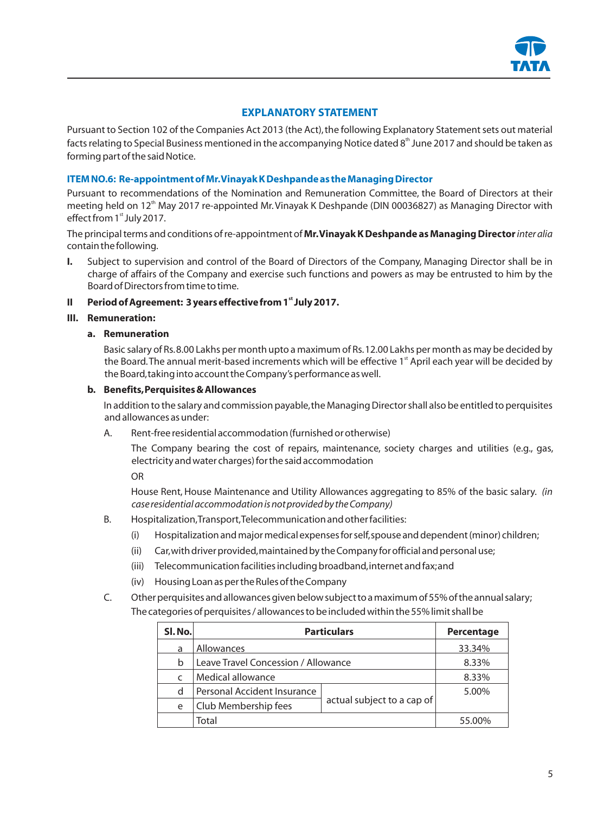

# **EXPLANATORY STATEMENT**

Pursuant to Section 102 of the Companies Act 2013 (the Act), the following Explanatory Statement sets out material facts relating to Special Business mentioned in the accompanying Notice dated 8<sup>th</sup> June 2017 and should be taken as forming part of the said Notice.

## **ITEM NO.6: Re-appointment of Mr.Vinayak K Deshpande as the Managing Director**

Pursuant to recommendations of the Nomination and Remuneration Committee, the Board of Directors at their meeting held on 12<sup>th</sup> May 2017 re-appointed Mr. Vinayak K Deshpande (DIN 00036827) as Managing Director with effect from 1<sup>st</sup> July 2017.

The principal terms and conditions of re-appointment of **Mr.Vinayak K Deshpande as Managing Director** *inter alia*  contain the following.

**I.** Subject to supervision and control of the Board of Directors of the Company, Managing Director shall be in charge of affairs of the Company and exercise such functions and powers as may be entrusted to him by the Board of Directors from time to time.

#### **st II Period of Agreement: 3 years effective from 1 July 2017.**

#### **III. Remuneration:**

#### **a. Remuneration**

Basic salary of Rs.8.00 Lakhs per month upto a maximum of Rs.12.00 Lakhs per month as may be decided by the Board. The annual merit-based increments which will be effective 1<sup>st</sup> April each year will be decided by the Board,taking into account the Company's performance as well.

#### **b. Benefits,Perquisites & Allowances**

In addition to the salary and commission payable,the Managing Director shall also be entitled to perquisites and allowances as under:

A. Rent-free residential accommodation (furnished or otherwise)

The Company bearing the cost of repairs, maintenance, society charges and utilities (e.g., gas, electricity and water charges) for the said accommodation

OR

House Rent, House Maintenance and Utility Allowances aggregating to 85% of the basic salary. *(in case residential accommodation is not provided by the Company)*

- B. Hospitalization,Transport,Telecommunication and other facilities:
	- (i) Hospitalization and major medical expenses for self,spouse and dependent (minor) children;
	- (ii) Car,with driver provided,maintained by the Company for official and personal use;
	- (iii) Telecommunication facilities including broadband,internet and fax;and
	- (iv) Housing Loan as per the Rules of the Company
- C. Other perquisites and allowances given below subject to a maximum of 55% of the annual salary; The categories of perquisites / allowances to be included within the 55% limit shall be

| SI. No. | <b>Particulars</b>                  |                            | Percentage |
|---------|-------------------------------------|----------------------------|------------|
| a       | Allowances                          |                            | 33.34%     |
| b       | Leave Travel Concession / Allowance |                            | 8.33%      |
|         | Medical allowance                   |                            | 8.33%      |
| d       | Personal Accident Insurance         |                            | 5.00%      |
| e       | Club Membership fees                | actual subject to a cap of |            |
|         | Total                               |                            | 55.00%     |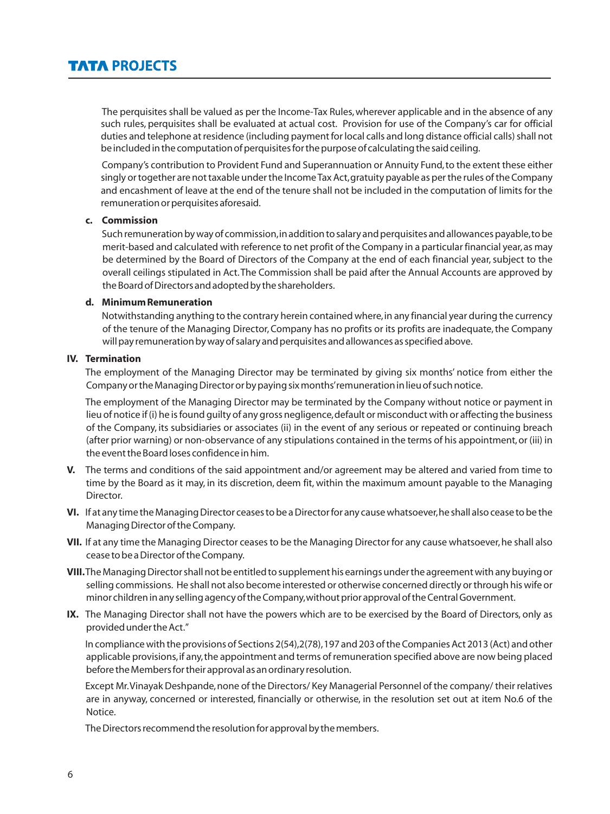The perquisites shall be valued as per the Income-Tax Rules,wherever applicable and in the absence of any such rules, perquisites shall be evaluated at actual cost. Provision for use of the Company's car for official duties and telephone at residence (including payment for local calls and long distance official calls) shall not be included in the computation of perquisites for the purpose of calculating the said ceiling.

Company's contribution to Provident Fund and Superannuation or Annuity Fund, to the extent these either singly or together are not taxable under the Income Tax Act,gratuity payable as per the rules of the Company and encashment of leave at the end of the tenure shall not be included in the computation of limits for the remuneration or perquisites aforesaid.

#### **c. Commission**

Such remuneration by way of commission,in addition to salary and perquisites and allowances payable,to be merit-based and calculated with reference to net profit of the Company in a particular financial year, as may be determined by the Board of Directors of the Company at the end of each financial year, subject to the overall ceilings stipulated in Act.The Commission shall be paid after the Annual Accounts are approved by the Board of Directors and adopted by the shareholders.

#### **d. Minimum Remuneration**

Notwithstanding anything to the contrary herein contained where,in any financial year during the currency of the tenure of the Managing Director, Company has no profits or its profits are inadequate, the Company will pay remuneration by way of salary and perquisites and allowances as specified above.

#### **IV. Termination**

The employment of the Managing Director may be terminated by giving six months' notice from either the Company or the Managing Director or by paying six months'remuneration in lieu of such notice.

The employment of the Managing Director may be terminated by the Company without notice or payment in lieu of notice if (i) he is found guilty of any gross negligence, default or misconduct with or affecting the business of the Company, its subsidiaries or associates (ii) in the event of any serious or repeated or continuing breach (after prior warning) or non-observance of any stipulations contained in the terms of his appointment,or (iii) in the event the Board loses confidence in him.

- **V.** The terms and conditions of the said appointment and/or agreement may be altered and varied from time to time by the Board as it may, in its discretion, deem fit, within the maximum amount payable to the Managing Director.
- **VI.** If at any time the Managing Director ceases to be a Director for any cause whatsoever,he shall also cease to be the Managing Director of the Company.
- **VII.** If at any time the Managing Director ceases to be the Managing Director for any cause whatsoever, he shall also cease to be a Director of the Company.
- **VIII.** The Managing Director shall not be entitled to supplement his earnings under the agreement with any buying or selling commissions. He shall not also become interested or otherwise concerned directly or through his wife or minor children in any selling agency of the Company,without prior approval of the Central Government.
- **IX.** The Managing Director shall not have the powers which are to be exercised by the Board of Directors, only as provided under the Act."

In compliance with the provisions of Sections 2(54),2(78),197 and 203 of the Companies Act 2013 (Act) and other applicable provisions,if any,the appointment and terms of remuneration specified above are now being placed before the Members for their approval as an ordinary resolution.

Except Mr. Vinayak Deshpande, none of the Directors/ Key Managerial Personnel of the company/ their relatives are in anyway, concerned or interested, financially or otherwise, in the resolution set out at item No.6 of the Notice.

The Directors recommend the resolution for approval by the members.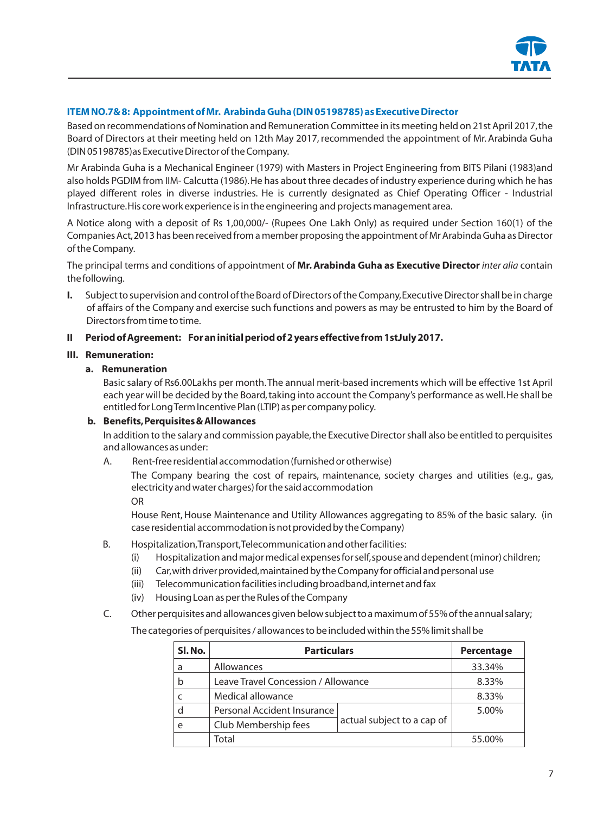

# **ITEM NO.7& 8: Appointment of Mr. Arabinda Guha (DIN 05198785) as Executive Director**

Based on recommendations of Nomination and Remuneration Committee in its meeting held on 21st April 2017,the Board of Directors at their meeting held on 12th May 2017, recommended the appointment of Mr. Arabinda Guha (DIN 05198785)as Executive Director of the Company.

Mr Arabinda Guha is a Mechanical Engineer (1979) with Masters in Project Engineering from BITS Pilani (1983)and also holds PGDIM from IIM- Calcutta (1986). He has about three decades of industry experience during which he has played different roles in diverse industries. He is currently designated as Chief Operating Officer - Industrial Infrastructure.His core work experience is in the engineering and projects management area.

A Notice along with a deposit of Rs 1,00,000/- (Rupees One Lakh Only) as required under Section 160(1) of the Companies Act,2013 has been received from a member proposing the appointment of Mr Arabinda Guha as Director of the Company.

The principal terms and conditions of appointment of **Mr. Arabinda Guha as Executive Director** *inter alia* contain the following.

**I.** Subject to supervision and control of the Board of Directors of the Company,Executive Director shall be in charge of affairs of the Company and exercise such functions and powers as may be entrusted to him by the Board of Directors from time to time.

#### **II Period of Agreement: For an initial period of 2 years effective from 1stJuly 2017.**

## **III. Remuneration:**

#### **a. Remuneration**

Basic salary of Rs6.00Lakhs per month.The annual merit-based increments which will be effective 1st April each year will be decided by the Board,taking into account the Company's performance as well.He shall be entitled for Long Term Incentive Plan (LTIP) as per company policy.

### **b. Benefits,Perquisites & Allowances**

In addition to the salary and commission payable,the Executive Director shall also be entitled to perquisites and allowances as under:

A. Rent-free residential accommodation (furnished or otherwise)

The Company bearing the cost of repairs, maintenance, society charges and utilities (e.g., gas, electricity and water charges) for the said accommodation

OR

House Rent, House Maintenance and Utility Allowances aggregating to 85% of the basic salary. (in case residential accommodation is not provided by the Company)

- B. Hospitalization,Transport,Telecommunication and other facilities:
	- (i) Hospitalization and major medical expenses for self,spouse and dependent (minor) children;
	- (ii) Car,with driver provided,maintained by the Company for official and personal use
	- (iii) Telecommunication facilities including broadband,internet and fax
	- (iv) Housing Loan as per the Rules of the Company
- C. Other perquisites and allowances given below subject to a maximum of 55% of the annual salary; The categories of perquisites / allowances to be included within the 55% limit shall be

| SI. No. | <b>Particulars</b>                  |                            | Percentage |
|---------|-------------------------------------|----------------------------|------------|
| a       | Allowances                          |                            | 33.34%     |
| b       | Leave Travel Concession / Allowance |                            | 8.33%      |
|         | Medical allowance                   |                            | 8.33%      |
| d       | Personal Accident Insurance         |                            | 5.00%      |
| e       | Club Membership fees                | actual subject to a cap of |            |
|         | Total                               |                            | 55.00%     |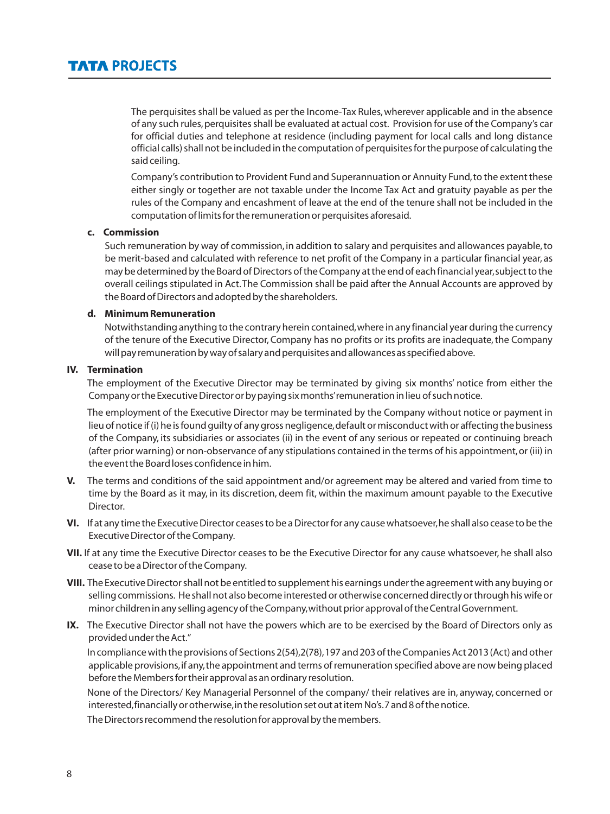The perquisites shall be valued as per the Income-Tax Rules,wherever applicable and in the absence of any such rules,perquisites shall be evaluated at actual cost. Provision for use of the Company's car for official duties and telephone at residence (including payment for local calls and long distance official calls) shall not be included in the computation of perquisites for the purpose of calculating the said ceiling.

Company's contribution to Provident Fund and Superannuation or Annuity Fund,to the extent these either singly or together are not taxable under the Income Tax Act and gratuity payable as per the rules of the Company and encashment of leave at the end of the tenure shall not be included in the computation of limits for the remuneration or perquisites aforesaid.

#### **c. Commission**

Such remuneration by way of commission, in addition to salary and perquisites and allowances payable,to be merit-based and calculated with reference to net profit of the Company in a particular financial year, as may be determined by the Board of Directors of the Company at the end of each financial year,subject to the overall ceilings stipulated in Act.The Commission shall be paid after the Annual Accounts are approved by the Board of Directors and adopted by the shareholders.

#### **d. Minimum Remuneration**

Notwithstanding anything to the contrary herein contained,where in any financial year during the currency of the tenure of the Executive Director, Company has no profits or its profits are inadequate, the Company will pay remuneration by way of salary and perquisites and allowances as specified above.

#### **IV. Termination**

The employment of the Executive Director may be terminated by giving six months' notice from either the Company or the Executive Director or by paying six months'remuneration in lieu of such notice.

The employment of the Executive Director may be terminated by the Company without notice or payment in lieu of notice if (i) he is found guilty of any gross negligence,default or misconduct with or affecting the business of the Company, its subsidiaries or associates (ii) in the event of any serious or repeated or continuing breach (after prior warning) or non-observance of any stipulations contained in the terms of his appointment,or (iii) in the event the Board loses confidence in him.

- **V.** The terms and conditions of the said appointment and/or agreement may be altered and varied from time to time by the Board as it may, in its discretion, deem fit, within the maximum amount payable to the Executive Director.
- **VI.** If at any time the Executive Director ceases to be a Director for any cause whatsoever,he shall also cease to be the Executive Director of the Company.
- **VII.** If at any time the Executive Director ceases to be the Executive Director for any cause whatsoever, he shall also cease to be a Director of the Company.
- **VIII.** The Executive Director shall not be entitled to supplement his earnings under the agreement with any buying or selling commissions. He shall not also become interested or otherwise concerned directly or through his wife or minor children in any selling agency of the Company,without prior approval of the Central Government.
- **IX.** The Executive Director shall not have the powers which are to be exercised by the Board of Directors only as provided under the Act."

In compliance with the provisions of Sections 2(54),2(78),197 and 203 of the Companies Act 2013 (Act) and other applicable provisions,if any,the appointment and terms of remuneration specified above are now being placed before the Members for their approval as an ordinary resolution.

None of the Directors/ Key Managerial Personnel of the company/ their relatives are in, anyway, concerned or interested,financially or otherwise,in the resolution set out at item No's.7 and 8 of the notice.

The Directors recommend the resolution for approval by the members.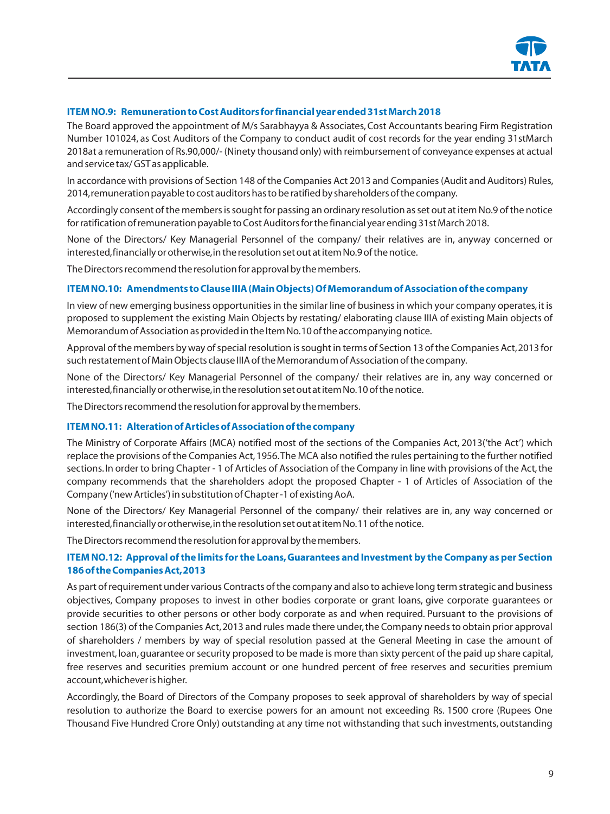

# **ITEM NO.9: Remuneration to Cost Auditors for financial year ended 31st March 2018**

The Board approved the appointment of M/s Sarabhayya & Associates, Cost Accountants bearing Firm Registration Number 101024, as Cost Auditors of the Company to conduct audit of cost records for the year ending 31stMarch 2018at a remuneration of Rs.90,000/- (Ninety thousand only) with reimbursement of conveyance expenses at actual and service tax/ GST as applicable.

In accordance with provisions of Section 148 of the Companies Act 2013 and Companies (Audit and Auditors) Rules, 2014,remuneration payable to cost auditors has to be ratified by shareholders of the company.

Accordingly consent of the members is sought for passing an ordinary resolution as set out at item No.9 of the notice for ratification of remuneration payable to Cost Auditors for the financial year ending 31st March 2018.

None of the Directors/ Key Managerial Personnel of the company/ their relatives are in, anyway concerned or interested,financially or otherwise,in the resolution set out at item No.9 of the notice.

The Directors recommend the resolution for approval by the members.

#### **ITEM NO.10: Amendments to Clause IIIA (Main Objects) Of Memorandum of Association of the company**

In view of new emerging business opportunities in the similar line of business in which your company operates, it is proposed to supplement the existing Main Objects by restating/ elaborating clause IIIA of existing Main objects of Memorandum of Association as provided in the Item No.10 of the accompanying notice.

Approval of the members by way of special resolution is sought in terms of Section 13 of the Companies Act,2013 for such restatement of Main Objects clause IIIA of the Memorandum of Association of the company.

None of the Directors/ Key Managerial Personnel of the company/ their relatives are in, any way concerned or interested,financially or otherwise,in the resolution set out at item No.10 of the notice.

The Directors recommend the resolution for approval by the members.

#### **ITEM NO.11: Alteration of Articles of Association of the company**

The Ministry of Corporate Affairs (MCA) notified most of the sections of the Companies Act, 2013('the Act') which replace the provisions of the Companies Act,1956.The MCA also notified the rules pertaining to the further notified sections. In order to bring Chapter - 1 of Articles of Association of the Company in line with provisions of the Act, the company recommends that the shareholders adopt the proposed Chapter - 1 of Articles of Association of the Company ('new Articles') in substitution of Chapter -1 of existing AoA.

None of the Directors/ Key Managerial Personnel of the company/ their relatives are in, any way concerned or interested,financially or otherwise,in the resolution set out at item No.11 of the notice.

The Directors recommend the resolution for approval by the members.

# **ITEM NO.12: Approval of the limits for the Loans,Guarantees and Investment by the Company as per Section 186 of the Companies Act,2013**

As part of requirement under various Contracts of the company and also to achieve long term strategic and business objectives, Company proposes to invest in other bodies corporate or grant loans, give corporate guarantees or provide securities to other persons or other body corporate as and when required. Pursuant to the provisions of section 186(3) of the Companies Act, 2013 and rules made there under, the Company needs to obtain prior approval of shareholders / members by way of special resolution passed at the General Meeting in case the amount of investment,loan,guarantee or security proposed to be made is more than sixty percent of the paid up share capital, free reserves and securities premium account or one hundred percent of free reserves and securities premium account,whichever is higher.

Accordingly, the Board of Directors of the Company proposes to seek approval of shareholders by way of special resolution to authorize the Board to exercise powers for an amount not exceeding Rs. 1500 crore (Rupees One Thousand Five Hundred Crore Only) outstanding at any time not withstanding that such investments, outstanding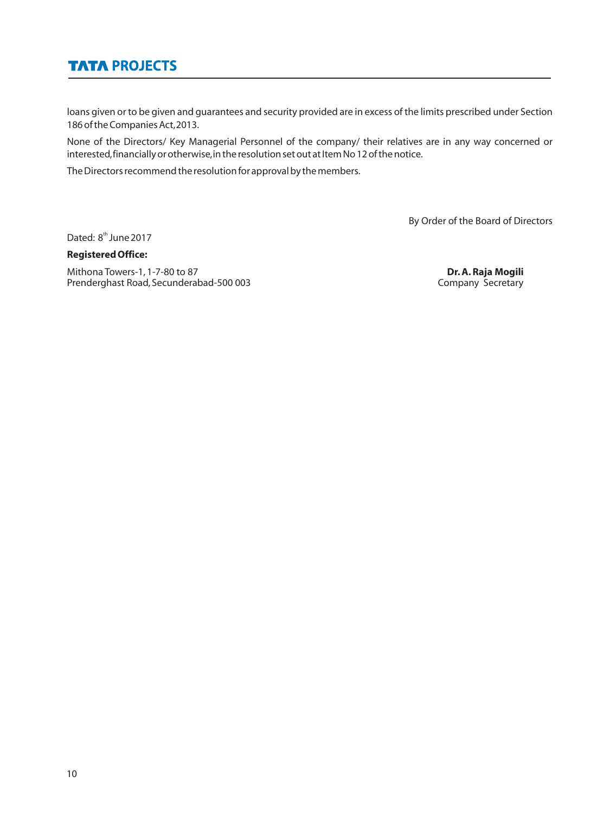# **TATA PROJECTS**

loans given or to be given and guarantees and security provided are in excess of the limits prescribed under Section 186 of the Companies Act,2013.

None of the Directors/ Key Managerial Personnel of the company/ their relatives are in any way concerned or interested,financially or otherwise,in the resolution set out at Item No 12 of the notice.

The Directors recommend the resolution for approval by the members.

By Order of the Board of Directors

Dated: 8<sup>th</sup> June 2017

# **Registered Office:**

Mithona Towers-1, 1-7-80 to 87<br> **Prenderghast Road, Secunderabad-500 003 Dr. A. Raja Mogili**<br>
Company Secretary Prenderghast Road, Secunderabad-500 003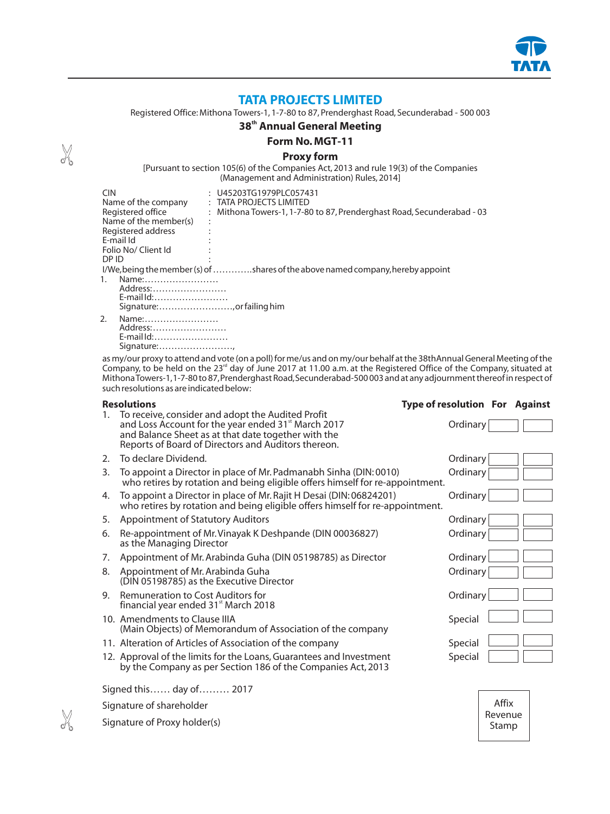

# **TATA PROJECTS LIMITED**

Registered Office: Mithona Towers-1, 1-7-80 to 87, Prenderghast Road, Secunderabad - 500 003

# **th 38 Annual General Meeting**

**Form No. MGT-11**

#### **Proxy form**

[Pursuant to section 105(6) of the Companies Act, 2013 and rule 19(3) of the Companies (Management and Administration) Rules, 2014]

| : U45203TG1979PLC057431<br>$:$ TATA PROJECTS LIMITED<br>: Mithona Towers-1, 1-7-80 to 87, Prenderghast Road, Secunderabad - 03<br>٠ |  |  |  |  |  |  |
|-------------------------------------------------------------------------------------------------------------------------------------|--|--|--|--|--|--|
|                                                                                                                                     |  |  |  |  |  |  |
| I/We, being the member (s) of shares of the above named company, hereby appoint                                                     |  |  |  |  |  |  |
| Name:<br>$1_{-}$<br>Address:<br>E-mail Id:                                                                                          |  |  |  |  |  |  |
|                                                                                                                                     |  |  |  |  |  |  |

2. Name:…………………… Address:…………………… E-mail Id:…………………… Signature:……………………,

as my/our proxy to attend and vote (on a poll) for me/us and on my/our behalf at the 38thAnnual General Meeting of the Company, to be held on the 23<sup>rd</sup> day of June 2017 at 11.00 a.m. at the Registered Office of the Company, situated at Mithona Towers-1,1-7-80 to 87,Prenderghast Road,Secunderabad-500 003 and at any adjournment thereof in respect of such resolutions as are indicated below:

| <b>Resolutions</b>                                                                                                                                                                                                                       | <b>Type of resolution For Against</b> |
|------------------------------------------------------------------------------------------------------------------------------------------------------------------------------------------------------------------------------------------|---------------------------------------|
| To receive, consider and adopt the Audited Profit<br>1.<br>and Loss Account for the year ended 31 <sup>st</sup> March 2017<br>and Balance Sheet as at that date together with the<br>Reports of Board of Directors and Auditors thereon. | Ordinary                              |
| To declare Dividend.<br>2 <sub>1</sub>                                                                                                                                                                                                   | Ordinary                              |
| To appoint a Director in place of Mr. Padmanabh Sinha (DIN: 0010)<br>3.<br>who retires by rotation and being eligible offers himself for re-appointment.                                                                                 | Ordinary                              |
| To appoint a Director in place of Mr. Rajit H Desai (DIN: 06824201)<br>4.<br>who retires by rotation and being eligible offers himself for re-appointment.                                                                               | Ordinary                              |
| <b>Appointment of Statutory Auditors</b><br>5.                                                                                                                                                                                           | Ordinary                              |
| Re-appointment of Mr. Vinayak K Deshpande (DIN 00036827)<br>6.<br>as the Managing Director                                                                                                                                               | Ordinary                              |
| Appointment of Mr. Arabinda Guha (DIN 05198785) as Director<br>7.                                                                                                                                                                        | Ordinary                              |
| Appointment of Mr. Arabinda Guha<br>8.<br>(DIN 05198785) as the Executive Director                                                                                                                                                       | Ordinary                              |
| Remuneration to Cost Auditors for<br>9.<br>financial year ended 31 <sup>st</sup> March 2018                                                                                                                                              | Ordinary                              |
| 10. Amendments to Clause IIIA<br>(Main Objects) of Memorandum of Association of the company                                                                                                                                              | Special                               |
| 11. Alteration of Articles of Association of the company                                                                                                                                                                                 | Special                               |
| 12. Approval of the limits for the Loans, Guarantees and Investment<br>by the Company as per Section 186 of the Companies Act, 2013                                                                                                      | Special                               |
| Signed this day of 2017                                                                                                                                                                                                                  |                                       |
| Signature of shareholder                                                                                                                                                                                                                 | Affix                                 |
| Signature of Proxy holder(s)                                                                                                                                                                                                             | Revenue<br>Stamp                      |

X

X